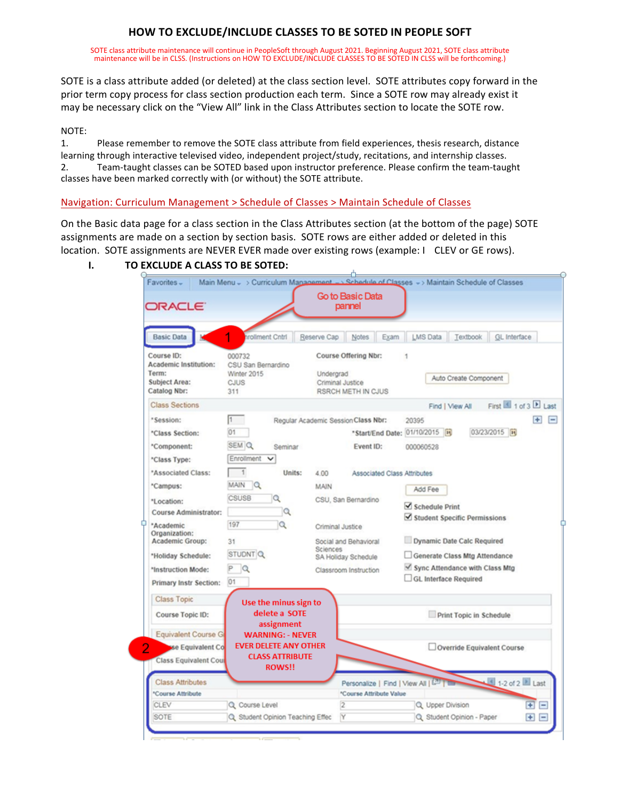# **HOW TO EXCLUDE/INCLUDE CLASSES TO BE SOTED IN PEOPLE SOFT**

SOTE class attribute maintenance will continue in PeopleSoft through August 2021. Beginning August 2021, SOTE class attribute maintenance will be in CLSS. (Instructions on HOW TO EXCLUDE/INCLUDE CLASSES TO BE SOTED IN CLSS will be forthcoming.)

SOTE is a class attribute added (or deleted) at the class section level. SOTE attributes copy forward in the prior term copy process for class section production each term. Since a SOTE row may already exist it may be necessary click on the "View All" link in the Class Attributes section to locate the SOTE row.

### NOTE:

1. Please remember to remove the SOTE class attribute from field experiences, thesis research, distance learning through interactive televised video, independent project/study, recitations, and internship classes. 2. Team-taught classes can be SOTED based upon instructor preference. Please confirm the team-taught classes have been marked correctly with (or without) the SOTE attribute.

Navigation: Curriculum Management > Schedule of Classes > Maintain Schedule of Classes

On the Basic data page for a class section in the Class Attributes section (at the bottom of the page) SOTE assignments are made on a section by section basis. SOTE rows are either added or deleted in this location. SOTE assignments are NEVER EVER made over existing rows (example: I CLEV or GE rows).

## **I. TO EXCLUDE A CLASS TO BE SOTED:**

| Favorites -                                                                                  |                                                                                                    | Go to Basic Data                                                                | Main Menu - > Curriculum Management -> Schedule of Classes -> Maintain Schedule of Classes                        |          |
|----------------------------------------------------------------------------------------------|----------------------------------------------------------------------------------------------------|---------------------------------------------------------------------------------|-------------------------------------------------------------------------------------------------------------------|----------|
| <b>ORACLE</b>                                                                                |                                                                                                    | pannel                                                                          |                                                                                                                   |          |
| <b>Basic Data</b>                                                                            | <b>Irollment Cntrl</b>                                                                             | Reserve Cap<br>Notes<br>Exam                                                    | <b>LMS Data</b><br>Textbook<br>GL Interface                                                                       |          |
| Course ID:<br><b>Academic Institution:</b><br>Term:<br><b>Subject Area:</b><br>Catalog Nbr:  | 000732<br>CSU San Bernardino<br>Winter 2015<br>CJUS<br>311                                         | Course Offering Nbr:<br>Undergrad<br>Criminal Justice<br>RSRCH METH IN CJUS     | Auto Create Component                                                                                             |          |
| <b>Class Sections</b>                                                                        |                                                                                                    |                                                                                 | First 1 of 3 D Last<br>Find   View All                                                                            |          |
| "Session:<br>*Class Section:<br>*Component:                                                  | I1<br>01<br>SEM Q<br>Seminar<br>Enrollment<br>$\checkmark$                                         | Regular Academic Session Class Nbr:<br>*Start/End Date: 01/10/2015<br>Event ID: | E.<br>20395<br>03/23/2015<br>000060528                                                                            | $\equiv$ |
| "Class Type:<br>*Associated Class:<br>*Campus:<br>"Location:<br><b>Course Administrator:</b> | $\overline{1}$<br>Units:<br>MAIN<br>$\alpha$<br><b>CSUSB</b><br>$\alpha$<br>Q                      | 4.00<br>Associated Class Attributes<br>MAIN<br>CSU, San Bernardino              | Add Fee<br>Schedule Print                                                                                         |          |
| *Academic<br>Organization:<br><b>Academic Group:</b><br>*Holiday Schedule:                   | 197<br>$\alpha$<br>31<br>STUDNT Q                                                                  | Criminal Justice<br>Social and Behavioral<br>Sciences<br>SA Holiday Schedule    | $\blacktriangleright$ Student Specific Permissions<br>Dynamic Date Calc Required<br>Generate Class Mtg Attendance |          |
| *Instruction Mode:<br><b>Primary Instr Section:</b>                                          | PQ<br>01                                                                                           | Classroom Instruction                                                           | √ Sync Attendance with Class Mtg<br>GL Interface Required                                                         |          |
| <b>Class Topic</b><br>Course Topic ID:                                                       | Use the minus sign to<br>delete a SOTE<br>assignment                                               |                                                                                 | Print Topic in Schedule                                                                                           |          |
| <b>Equivalent Course G</b><br>2<br>se Equivalent Co<br>Class Equivalent Cour                 | <b>WARNING: - NEVER</b><br><b>EVER DELETE ANY OTHER</b><br><b>CLASS ATTRIBUTE</b><br><b>ROWS!!</b> |                                                                                 | Override Equivalent Course                                                                                        |          |
| <b>Class Attributes</b><br>*Course Attribute                                                 |                                                                                                    | Personalize   Find   View All   (20)   Chang<br>*Course Attribute Value         | 1-2 of 2 2 Last                                                                                                   |          |
| CLEV                                                                                         | Q Course Level                                                                                     | $\overline{2}$                                                                  | $F =$<br>Q Upper Division                                                                                         |          |
| SOTE                                                                                         | Q Student Opinion Teaching Effec                                                                   | Y                                                                               | $+$ $-$<br>Q Student Opinion - Paper                                                                              |          |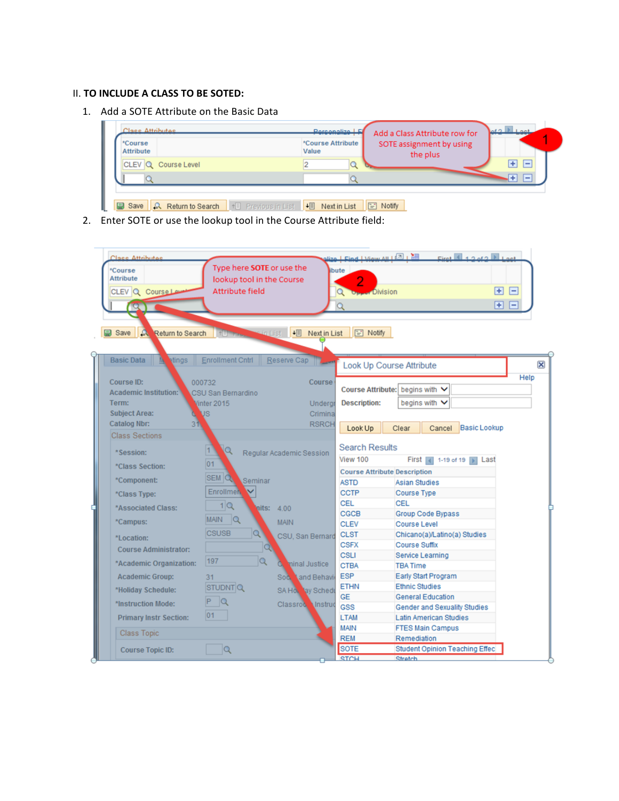### II. **TO INCLUDE A CLASS TO BE SOTED:**

1. Add a SOTE Attribute on the Basic Data



2. Enter SOTE or use the lookup tool in the Course Attribute field: